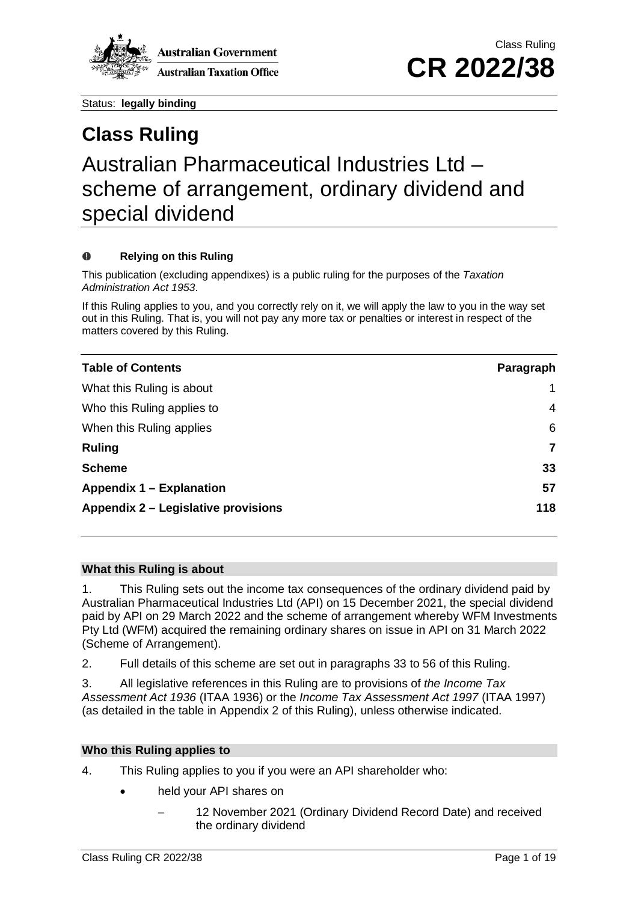

# **Class Ruling** Australian Pharmaceutical Industries Ltd – scheme of arrangement, ordinary dividend and special dividend

## **Relying on this Ruling**

This publication (excluding appendixes) is a public ruling for the purposes of the *Taxation Administration Act 1953*.

If this Ruling applies to you, and you correctly rely on it, we will apply the law to you in the way set out in this Ruling. That is, you will not pay any more tax or penalties or interest in respect of the matters covered by this Ruling.

| <b>Table of Contents</b>            | Paragraph |
|-------------------------------------|-----------|
| What this Ruling is about           |           |
| Who this Ruling applies to          | 4         |
| When this Ruling applies            | 6         |
| <b>Ruling</b>                       | 7         |
| <b>Scheme</b>                       | 33        |
| <b>Appendix 1 – Explanation</b>     | 57        |
| Appendix 2 – Legislative provisions | 118       |

## **What this Ruling is about**

1. This Ruling sets out the income tax consequences of the ordinary dividend paid by Australian Pharmaceutical Industries Ltd (API) on 15 December 2021, the special dividend paid by API on 29 March 2022 and the scheme of arrangement whereby WFM Investments Pty Ltd (WFM) acquired the remaining ordinary shares on issue in API on 31 March 2022 (Scheme of Arrangement).

2. Full details of this scheme are set out in paragraphs 33 to 56 of this Ruling.

3. All legislative references in this Ruling are to provisions of *the Income Tax Assessment Act 1936* (ITAA 1936) or the *Income Tax Assessment Act 1997* (ITAA 1997) (as detailed in the table in Appendix 2 of this Ruling), unless otherwise indicated.

## **Who this Ruling applies to**

4. This Ruling applies to you if you were an API shareholder who:

- held your API shares on
	- 12 November 2021 (Ordinary Dividend Record Date) and received the ordinary dividend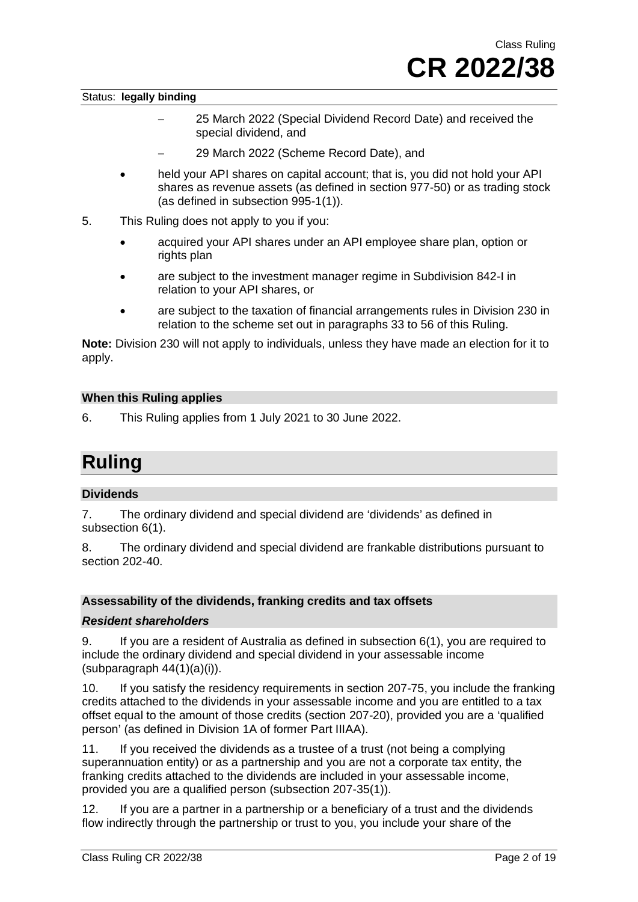- − 25 March 2022 (Special Dividend Record Date) and received the special dividend, and
- − 29 March 2022 (Scheme Record Date), and
- held your API shares on capital account; that is, you did not hold your API shares as revenue assets (as defined in section 977-50) or as trading stock (as defined in subsection 995-1(1)).
- 5. This Ruling does not apply to you if you:
	- acquired your API shares under an API employee share plan, option or rights plan
	- are subject to the investment manager regime in Subdivision 842-I in relation to your API shares, or
	- are subject to the taxation of financial arrangements rules in Division 230 in relation to the scheme set out in paragraphs 33 to 56 of this Ruling.

**Note:** Division 230 will not apply to individuals, unless they have made an election for it to apply.

## **When this Ruling applies**

6. This Ruling applies from 1 July 2021 to 30 June 2022.

## **Ruling**

## **Dividends**

7. The ordinary dividend and special dividend are 'dividends' as defined in subsection 6(1).

8. The ordinary dividend and special dividend are frankable distributions pursuant to section 202-40.

## **Assessability of the dividends, franking credits and tax offsets**

## *Resident shareholders*

9. If you are a resident of Australia as defined in subsection 6(1), you are required to include the ordinary dividend and special dividend in your assessable income  $subparag$ raph  $44(1)(a)(i)$ ).

10. If you satisfy the residency requirements in section 207-75, you include the franking credits attached to the dividends in your assessable income and you are entitled to a tax offset equal to the amount of those credits (section 207-20), provided you are a 'qualified person' (as defined in Division 1A of former Part IIIAA).

11. If you received the dividends as a trustee of a trust (not being a complying superannuation entity) or as a partnership and you are not a corporate tax entity, the franking credits attached to the dividends are included in your assessable income, provided you are a qualified person (subsection 207-35(1)).

12. If you are a partner in a partnership or a beneficiary of a trust and the dividends flow indirectly through the partnership or trust to you, you include your share of the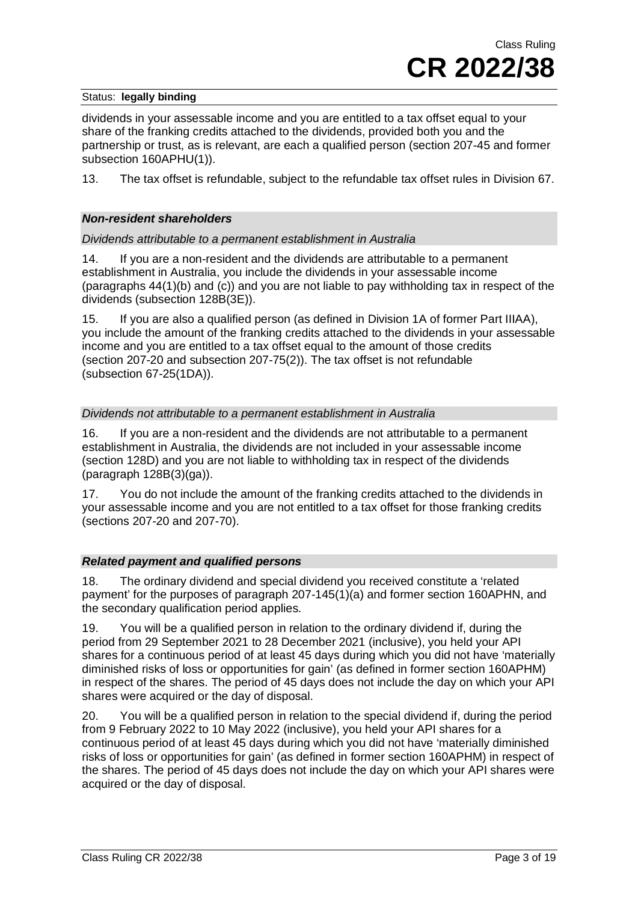dividends in your assessable income and you are entitled to a tax offset equal to your share of the franking credits attached to the dividends, provided both you and the partnership or trust, as is relevant, are each a qualified person (section 207-45 and former subsection 160APHU(1)).

13. The tax offset is refundable, subject to the refundable tax offset rules in Division 67.

## *Non-resident shareholders*

*Dividends attributable to a permanent establishment in Australia*

14. If you are a non-resident and the dividends are attributable to a permanent establishment in Australia, you include the dividends in your assessable income (paragraphs 44(1)(b) and (c)) and you are not liable to pay withholding tax in respect of the dividends (subsection 128B(3E)).

15. If you are also a qualified person (as defined in Division 1A of former Part IIIAA), you include the amount of the franking credits attached to the dividends in your assessable income and you are entitled to a tax offset equal to the amount of those credits (section 207-20 and subsection 207-75(2)). The tax offset is not refundable (subsection 67-25(1DA)).

## *Dividends not attributable to a permanent establishment in Australia*

16. If you are a non-resident and the dividends are not attributable to a permanent establishment in Australia, the dividends are not included in your assessable income (section 128D) and you are not liable to withholding tax in respect of the dividends (paragraph 128B(3)(ga)).

17. You do not include the amount of the franking credits attached to the dividends in your assessable income and you are not entitled to a tax offset for those franking credits (sections 207-20 and 207-70).

## *Related payment and qualified persons*

18. The ordinary dividend and special dividend you received constitute a 'related payment' for the purposes of paragraph 207-145(1)(a) and former section 160APHN, and the secondary qualification period applies.

19. You will be a qualified person in relation to the ordinary dividend if, during the period from 29 September 2021 to 28 December 2021 (inclusive), you held your API shares for a continuous period of at least 45 days during which you did not have 'materially diminished risks of loss or opportunities for gain' (as defined in former section 160APHM) in respect of the shares. The period of 45 days does not include the day on which your API shares were acquired or the day of disposal.

20. You will be a qualified person in relation to the special dividend if, during the period from 9 February 2022 to 10 May 2022 (inclusive), you held your API shares for a continuous period of at least 45 days during which you did not have 'materially diminished risks of loss or opportunities for gain' (as defined in former section 160APHM) in respect of the shares. The period of 45 days does not include the day on which your API shares were acquired or the day of disposal.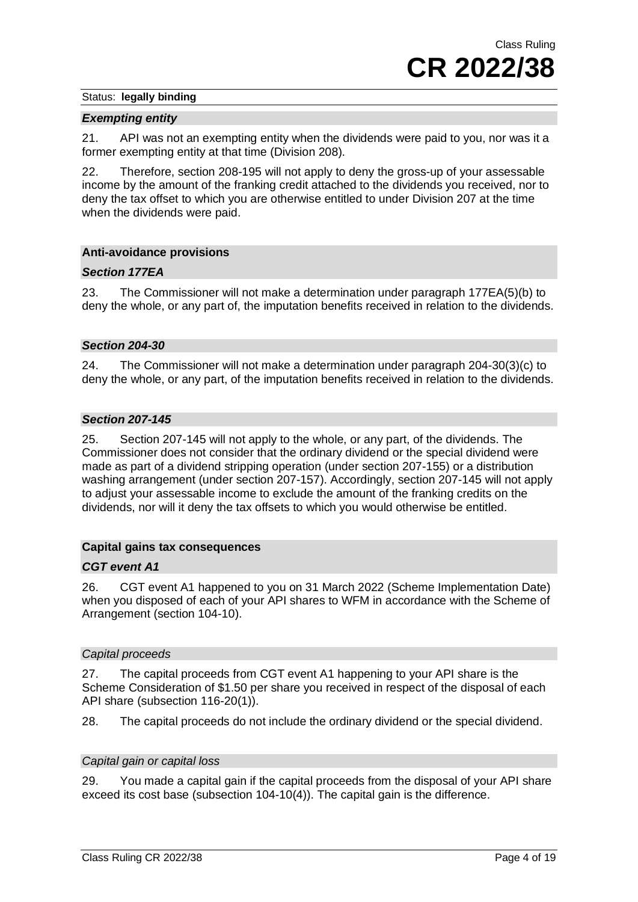## *Exempting entity*

21. API was not an exempting entity when the dividends were paid to you, nor was it a former exempting entity at that time (Division 208).

22. Therefore, section 208-195 will not apply to deny the gross-up of your assessable income by the amount of the franking credit attached to the dividends you received, nor to deny the tax offset to which you are otherwise entitled to under Division 207 at the time when the dividends were paid.

## **Anti-avoidance provisions**

## *Section 177EA*

23. The Commissioner will not make a determination under paragraph 177EA(5)(b) to deny the whole, or any part of, the imputation benefits received in relation to the dividends.

## *Section 204-30*

24. The Commissioner will not make a determination under paragraph 204-30(3)(c) to deny the whole, or any part, of the imputation benefits received in relation to the dividends.

## *Section 207-145*

25. Section 207-145 will not apply to the whole, or any part, of the dividends. The Commissioner does not consider that the ordinary dividend or the special dividend were made as part of a dividend stripping operation (under section 207-155) or a distribution washing arrangement (under section 207-157). Accordingly, section 207-145 will not apply to adjust your assessable income to exclude the amount of the franking credits on the dividends, nor will it deny the tax offsets to which you would otherwise be entitled.

## **Capital gains tax consequences**

## *CGT event A1*

26. CGT event A1 happened to you on 31 March 2022 (Scheme Implementation Date) when you disposed of each of your API shares to WFM in accordance with the Scheme of Arrangement (section 104-10).

## *Capital proceeds*

27. The capital proceeds from CGT event A1 happening to your API share is the Scheme Consideration of \$1.50 per share you received in respect of the disposal of each API share (subsection 116-20(1)).

28. The capital proceeds do not include the ordinary dividend or the special dividend.

## *Capital gain or capital loss*

29. You made a capital gain if the capital proceeds from the disposal of your API share exceed its cost base (subsection 104-10(4)). The capital gain is the difference.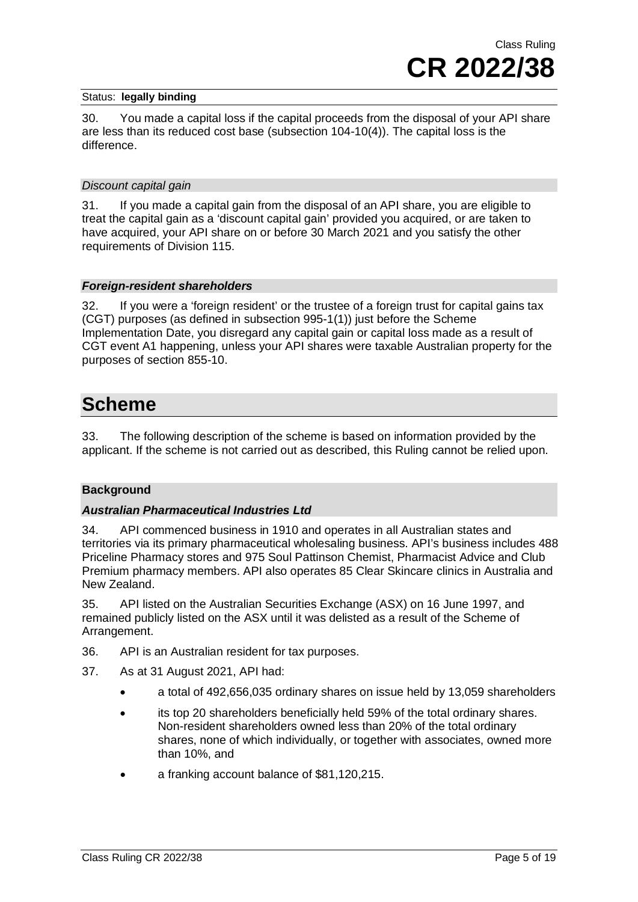30. You made a capital loss if the capital proceeds from the disposal of your API share are less than its reduced cost base (subsection 104-10(4)). The capital loss is the difference.

## *Discount capital gain*

31. If you made a capital gain from the disposal of an API share, you are eligible to treat the capital gain as a 'discount capital gain' provided you acquired, or are taken to have acquired, your API share on or before 30 March 2021 and you satisfy the other requirements of Division 115.

## *Foreign-resident shareholders*

32. If you were a 'foreign resident' or the trustee of a foreign trust for capital gains tax (CGT) purposes (as defined in subsection 995-1(1)) just before the Scheme Implementation Date, you disregard any capital gain or capital loss made as a result of CGT event A1 happening, unless your API shares were taxable Australian property for the purposes of section 855-10.

## **Scheme**

33. The following description of the scheme is based on information provided by the applicant. If the scheme is not carried out as described, this Ruling cannot be relied upon.

## **Background**

## *Australian Pharmaceutical Industries Ltd*

34. API commenced business in 1910 and operates in all Australian states and territories via its primary pharmaceutical wholesaling business. API's business includes 488 Priceline Pharmacy stores and 975 Soul Pattinson Chemist, Pharmacist Advice and Club Premium pharmacy members. API also operates 85 Clear Skincare clinics in Australia and New Zealand.

35. API listed on the Australian Securities Exchange (ASX) on 16 June 1997, and remained publicly listed on the ASX until it was delisted as a result of the Scheme of Arrangement.

- 36. API is an Australian resident for tax purposes.
- 37. As at 31 August 2021, API had:
	- a total of 492,656,035 ordinary shares on issue held by 13,059 shareholders
	- its top 20 shareholders beneficially held 59% of the total ordinary shares. Non-resident shareholders owned less than 20% of the total ordinary shares, none of which individually, or together with associates, owned more than 10%, and
	- a franking account balance of \$81,120,215.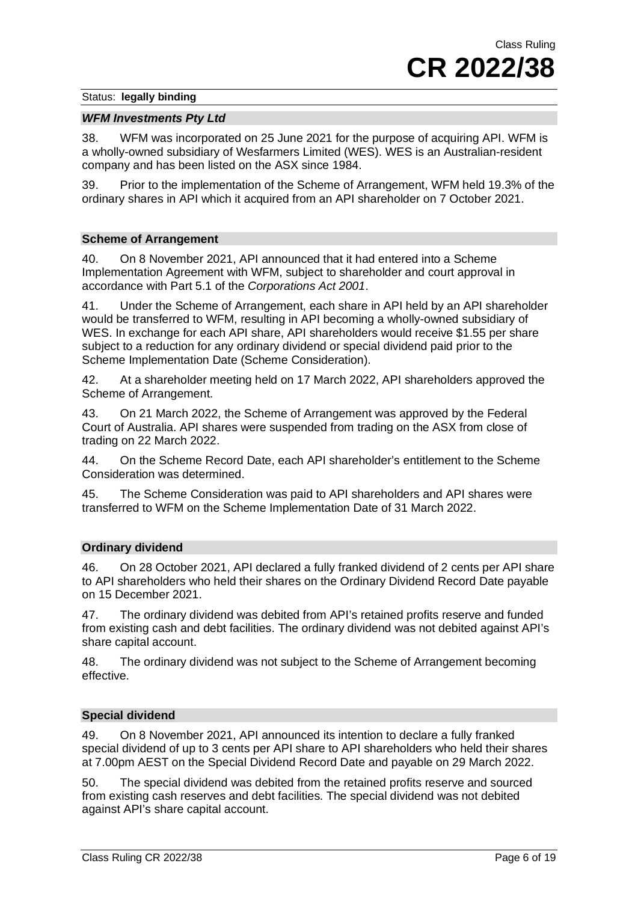## *WFM Investments Pty Ltd*

38. WFM was incorporated on 25 June 2021 for the purpose of acquiring API. WFM is a wholly-owned subsidiary of Wesfarmers Limited (WES). WES is an Australian-resident company and has been listed on the ASX since 1984.

39. Prior to the implementation of the Scheme of Arrangement, WFM held 19.3% of the ordinary shares in API which it acquired from an API shareholder on 7 October 2021.

## **Scheme of Arrangement**

40. On 8 November 2021, API announced that it had entered into a Scheme Implementation Agreement with WFM, subject to shareholder and court approval in accordance with Part 5.1 of the *Corporations Act 2001*.

41. Under the Scheme of Arrangement, each share in API held by an API shareholder would be transferred to WFM, resulting in API becoming a wholly-owned subsidiary of WES. In exchange for each API share, API shareholders would receive \$1.55 per share subject to a reduction for any ordinary dividend or special dividend paid prior to the Scheme Implementation Date (Scheme Consideration).

42. At a shareholder meeting held on 17 March 2022, API shareholders approved the Scheme of Arrangement.

43. On 21 March 2022, the Scheme of Arrangement was approved by the Federal Court of Australia. API shares were suspended from trading on the ASX from close of trading on 22 March 2022.

44. On the Scheme Record Date, each API shareholder's entitlement to the Scheme Consideration was determined.

45. The Scheme Consideration was paid to API shareholders and API shares were transferred to WFM on the Scheme Implementation Date of 31 March 2022.

## **Ordinary dividend**

46. On 28 October 2021, API declared a fully franked dividend of 2 cents per API share to API shareholders who held their shares on the Ordinary Dividend Record Date payable on 15 December 2021.

47. The ordinary dividend was debited from API's retained profits reserve and funded from existing cash and debt facilities. The ordinary dividend was not debited against API's share capital account.

48. The ordinary dividend was not subject to the Scheme of Arrangement becoming effective.

## **Special dividend**

49. On 8 November 2021, API announced its intention to declare a fully franked special dividend of up to 3 cents per API share to API shareholders who held their shares at 7.00pm AEST on the Special Dividend Record Date and payable on 29 March 2022.

50. The special dividend was debited from the retained profits reserve and sourced from existing cash reserves and debt facilities. The special dividend was not debited against API's share capital account.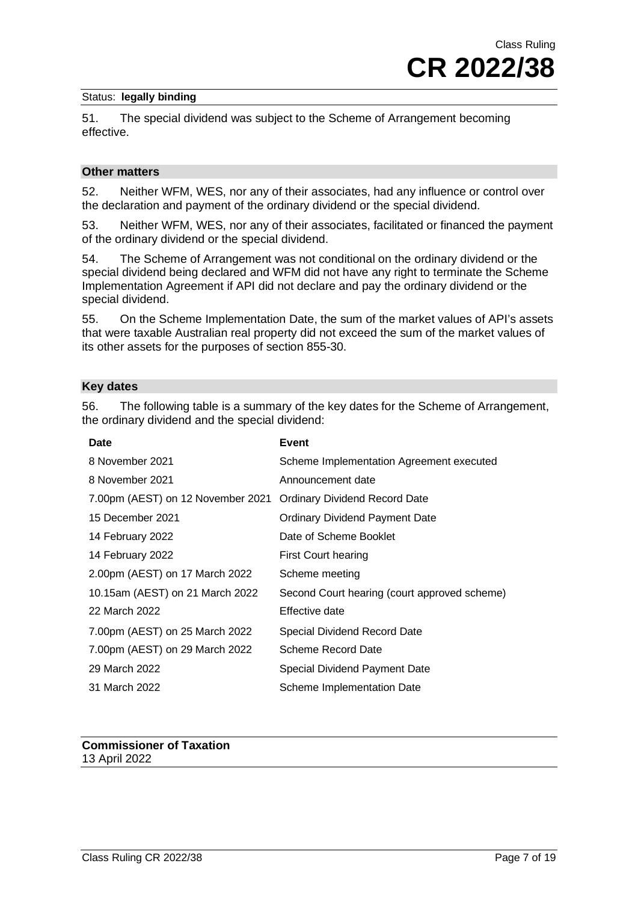51. The special dividend was subject to the Scheme of Arrangement becoming effective.

## **Other matters**

52. Neither WFM, WES, nor any of their associates, had any influence or control over the declaration and payment of the ordinary dividend or the special dividend.

53. Neither WFM, WES, nor any of their associates, facilitated or financed the payment of the ordinary dividend or the special dividend.

54. The Scheme of Arrangement was not conditional on the ordinary dividend or the special dividend being declared and WFM did not have any right to terminate the Scheme Implementation Agreement if API did not declare and pay the ordinary dividend or the special dividend.

55. On the Scheme Implementation Date, the sum of the market values of API's assets that were taxable Australian real property did not exceed the sum of the market values of its other assets for the purposes of section 855-30.

## **Key dates**

56. The following table is a summary of the key dates for the Scheme of Arrangement, the ordinary dividend and the special dividend:

| <b>Date</b>                       | Event                                        |
|-----------------------------------|----------------------------------------------|
| 8 November 2021                   | Scheme Implementation Agreement executed     |
| 8 November 2021                   | Announcement date                            |
| 7.00pm (AEST) on 12 November 2021 | <b>Ordinary Dividend Record Date</b>         |
| 15 December 2021                  | <b>Ordinary Dividend Payment Date</b>        |
| 14 February 2022                  | Date of Scheme Booklet                       |
| 14 February 2022                  | First Court hearing                          |
| 2.00pm (AEST) on 17 March 2022    | Scheme meeting                               |
| 10.15am (AEST) on 21 March 2022   | Second Court hearing (court approved scheme) |
| 22 March 2022                     | Effective date                               |
| 7.00pm (AEST) on 25 March 2022    | Special Dividend Record Date                 |
| 7.00pm (AEST) on 29 March 2022    | Scheme Record Date                           |
| 29 March 2022                     | <b>Special Dividend Payment Date</b>         |
| 31 March 2022                     | <b>Scheme Implementation Date</b>            |
|                                   |                                              |

## **Commissioner of Taxation** 13 April 2022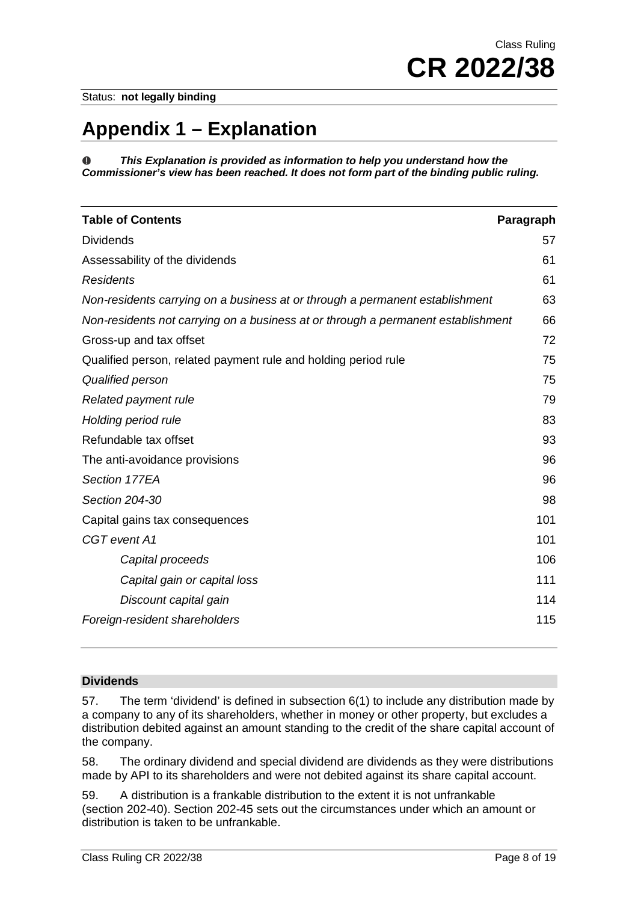# **Appendix 1 – Explanation**

*This Explanation is provided as information to help you understand how the*  o *Commissioner's view has been reached. It does not form part of the binding public ruling.*

| <b>Table of Contents</b>                                                         | Paragraph |
|----------------------------------------------------------------------------------|-----------|
| <b>Dividends</b>                                                                 | 57        |
| Assessability of the dividends                                                   | 61        |
| <b>Residents</b>                                                                 | 61        |
| Non-residents carrying on a business at or through a permanent establishment     | 63        |
| Non-residents not carrying on a business at or through a permanent establishment | 66        |
| Gross-up and tax offset                                                          | 72        |
| Qualified person, related payment rule and holding period rule                   | 75        |
| Qualified person                                                                 | 75        |
| Related payment rule                                                             | 79        |
| Holding period rule                                                              | 83        |
| Refundable tax offset                                                            | 93        |
| The anti-avoidance provisions                                                    | 96        |
| Section 177EA                                                                    | 96        |
| Section 204-30                                                                   | 98        |
| Capital gains tax consequences                                                   | 101       |
| CGT event A1                                                                     | 101       |
| Capital proceeds                                                                 | 106       |
| Capital gain or capital loss                                                     | 111       |
| Discount capital gain                                                            | 114       |
| Foreign-resident shareholders                                                    | 115       |

## **Dividends**

57. The term 'dividend' is defined in subsection 6(1) to include any distribution made by a company to any of its shareholders, whether in money or other property, but excludes a distribution debited against an amount standing to the credit of the share capital account of the company.

58. The ordinary dividend and special dividend are dividends as they were distributions made by API to its shareholders and were not debited against its share capital account.

59. A distribution is a frankable distribution to the extent it is not unfrankable (section 202-40). Section 202-45 sets out the circumstances under which an amount or distribution is taken to be unfrankable.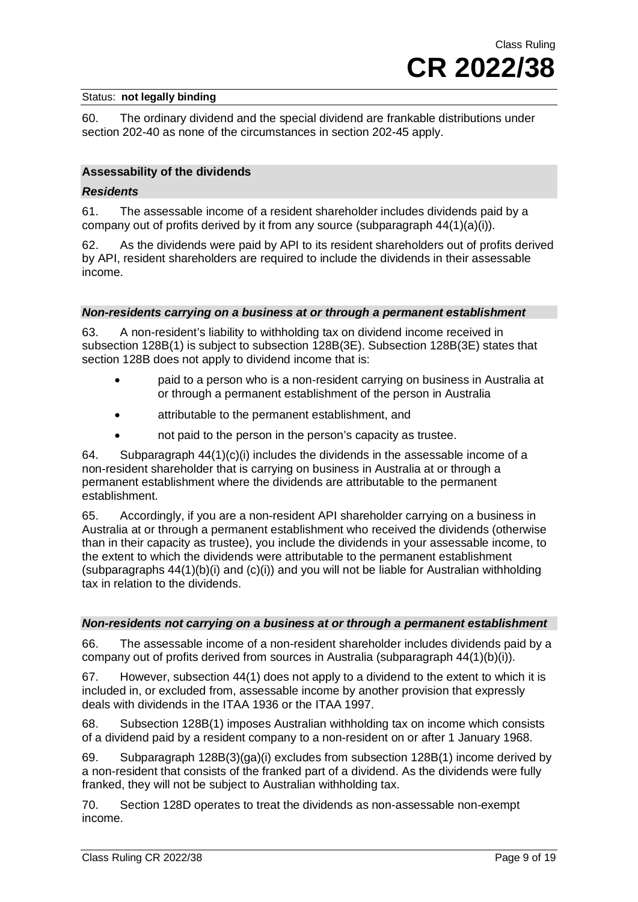60. The ordinary dividend and the special dividend are frankable distributions under section 202-40 as none of the circumstances in section 202-45 apply.

## **Assessability of the dividends**

## *Residents*

61. The assessable income of a resident shareholder includes dividends paid by a company out of profits derived by it from any source (subparagraph  $44(1)(a)(i)$ ).

62. As the dividends were paid by API to its resident shareholders out of profits derived by API, resident shareholders are required to include the dividends in their assessable income.

## *Non-residents carrying on a business at or through a permanent establishment*

63. A non-resident's liability to withholding tax on dividend income received in subsection 128B(1) is subject to subsection 128B(3E). Subsection 128B(3E) states that section 128B does not apply to dividend income that is:

- paid to a person who is a non-resident carrying on business in Australia at or through a permanent establishment of the person in Australia
- attributable to the permanent establishment, and
- not paid to the person in the person's capacity as trustee.

64. Subparagraph  $44(1)(c)(i)$  includes the dividends in the assessable income of a non-resident shareholder that is carrying on business in Australia at or through a permanent establishment where the dividends are attributable to the permanent establishment.

65. Accordingly, if you are a non-resident API shareholder carrying on a business in Australia at or through a permanent establishment who received the dividends (otherwise than in their capacity as trustee), you include the dividends in your assessable income, to the extent to which the dividends were attributable to the permanent establishment (subparagraphs  $44(1)(b)(i)$  and  $(c)(i)$ ) and you will not be liable for Australian withholding tax in relation to the dividends.

## *Non-residents not carrying on a business at or through a permanent establishment*

66. The assessable income of a non-resident shareholder includes dividends paid by a company out of profits derived from sources in Australia (subparagraph 44(1)(b)(i)).

67. However, subsection 44(1) does not apply to a dividend to the extent to which it is included in, or excluded from, assessable income by another provision that expressly deals with dividends in the ITAA 1936 or the ITAA 1997.

68. Subsection 128B(1) imposes Australian withholding tax on income which consists of a dividend paid by a resident company to a non-resident on or after 1 January 1968.

69. Subparagraph 128B(3)(ga)(i) excludes from subsection 128B(1) income derived by a non-resident that consists of the franked part of a dividend. As the dividends were fully franked, they will not be subject to Australian withholding tax.

70. Section 128D operates to treat the dividends as non-assessable non-exempt income.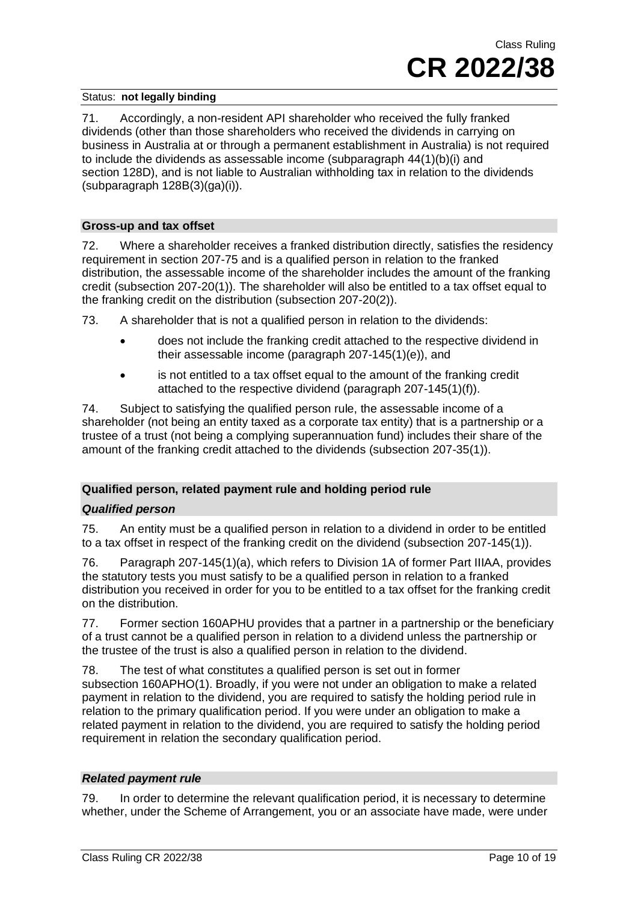71. Accordingly, a non-resident API shareholder who received the fully franked dividends (other than those shareholders who received the dividends in carrying on business in Australia at or through a permanent establishment in Australia) is not required to include the dividends as assessable income (subparagraph 44(1)(b)(i) and section 128D), and is not liable to Australian withholding tax in relation to the dividends (subparagraph 128B(3)(ga)(i)).

## **Gross-up and tax offset**

72. Where a shareholder receives a franked distribution directly, satisfies the residency requirement in section 207-75 and is a qualified person in relation to the franked distribution, the assessable income of the shareholder includes the amount of the franking credit (subsection 207-20(1)). The shareholder will also be entitled to a tax offset equal to the franking credit on the distribution (subsection 207-20(2)).

73. A shareholder that is not a qualified person in relation to the dividends:

- does not include the franking credit attached to the respective dividend in their assessable income (paragraph 207-145(1)(e)), and
- is not entitled to a tax offset equal to the amount of the franking credit attached to the respective dividend (paragraph 207-145(1)(f)).

74. Subject to satisfying the qualified person rule, the assessable income of a shareholder (not being an entity taxed as a corporate tax entity) that is a partnership or a trustee of a trust (not being a complying superannuation fund) includes their share of the amount of the franking credit attached to the dividends (subsection 207-35(1)).

## **Qualified person, related payment rule and holding period rule**

## *Qualified person*

75. An entity must be a qualified person in relation to a dividend in order to be entitled to a tax offset in respect of the franking credit on the dividend (subsection 207-145(1)).

76. Paragraph 207-145(1)(a), which refers to Division 1A of former Part IIIAA, provides the statutory tests you must satisfy to be a qualified person in relation to a franked distribution you received in order for you to be entitled to a tax offset for the franking credit on the distribution.

77. Former section 160APHU provides that a partner in a partnership or the beneficiary of a trust cannot be a qualified person in relation to a dividend unless the partnership or the trustee of the trust is also a qualified person in relation to the dividend.

78. The test of what constitutes a qualified person is set out in former subsection 160APHO(1). Broadly, if you were not under an obligation to make a related payment in relation to the dividend, you are required to satisfy the holding period rule in relation to the primary qualification period. If you were under an obligation to make a related payment in relation to the dividend, you are required to satisfy the holding period requirement in relation the secondary qualification period.

## *Related payment rule*

79. In order to determine the relevant qualification period, it is necessary to determine whether, under the Scheme of Arrangement, you or an associate have made, were under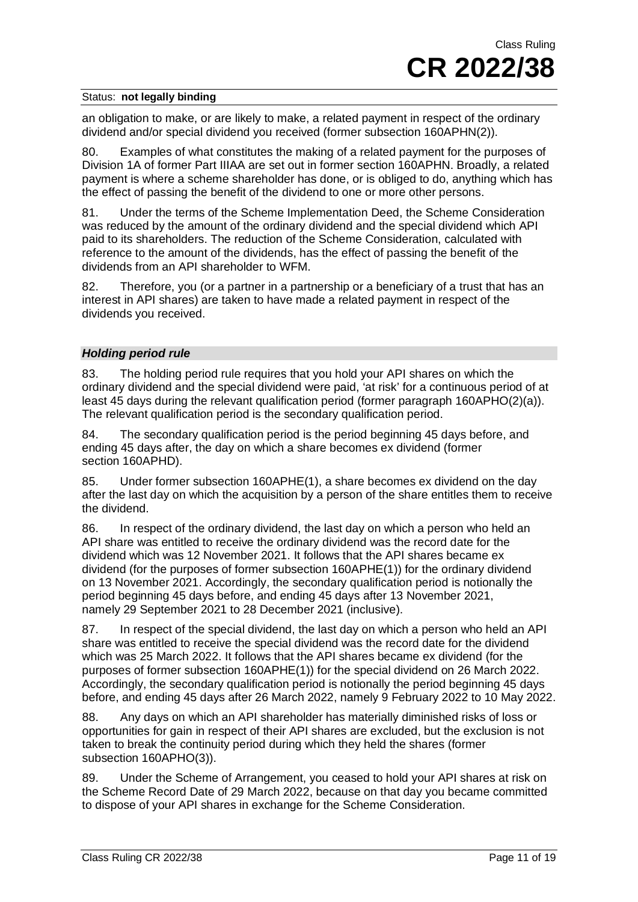an obligation to make, or are likely to make, a related payment in respect of the ordinary dividend and/or special dividend you received (former subsection 160APHN(2)).

80. Examples of what constitutes the making of a related payment for the purposes of Division 1A of former Part IIIAA are set out in former section 160APHN. Broadly, a related payment is where a scheme shareholder has done, or is obliged to do, anything which has the effect of passing the benefit of the dividend to one or more other persons.

81. Under the terms of the Scheme Implementation Deed, the Scheme Consideration was reduced by the amount of the ordinary dividend and the special dividend which API paid to its shareholders. The reduction of the Scheme Consideration, calculated with reference to the amount of the dividends, has the effect of passing the benefit of the dividends from an API shareholder to WFM.

82. Therefore, you (or a partner in a partnership or a beneficiary of a trust that has an interest in API shares) are taken to have made a related payment in respect of the dividends you received.

## *Holding period rule*

83. The holding period rule requires that you hold your API shares on which the ordinary dividend and the special dividend were paid, 'at risk' for a continuous period of at least 45 days during the relevant qualification period (former paragraph 160APHO(2)(a)). The relevant qualification period is the secondary qualification period.

84. The secondary qualification period is the period beginning 45 days before, and ending 45 days after, the day on which a share becomes ex dividend (former section 160APHD).

85. Under former subsection 160APHE(1), a share becomes ex dividend on the day after the last day on which the acquisition by a person of the share entitles them to receive the dividend.

86. In respect of the ordinary dividend, the last day on which a person who held an API share was entitled to receive the ordinary dividend was the record date for the dividend which was 12 November 2021. It follows that the API shares became ex dividend (for the purposes of former subsection 160APHE(1)) for the ordinary dividend on 13 November 2021. Accordingly, the secondary qualification period is notionally the period beginning 45 days before, and ending 45 days after 13 November 2021, namely 29 September 2021 to 28 December 2021 (inclusive).

87. In respect of the special dividend, the last day on which a person who held an API share was entitled to receive the special dividend was the record date for the dividend which was 25 March 2022. It follows that the API shares became ex dividend (for the purposes of former subsection 160APHE(1)) for the special dividend on 26 March 2022. Accordingly, the secondary qualification period is notionally the period beginning 45 days before, and ending 45 days after 26 March 2022, namely 9 February 2022 to 10 May 2022.

88. Any days on which an API shareholder has materially diminished risks of loss or opportunities for gain in respect of their API shares are excluded, but the exclusion is not taken to break the continuity period during which they held the shares (former subsection 160APHO(3)).

89. Under the Scheme of Arrangement, you ceased to hold your API shares at risk on the Scheme Record Date of 29 March 2022, because on that day you became committed to dispose of your API shares in exchange for the Scheme Consideration.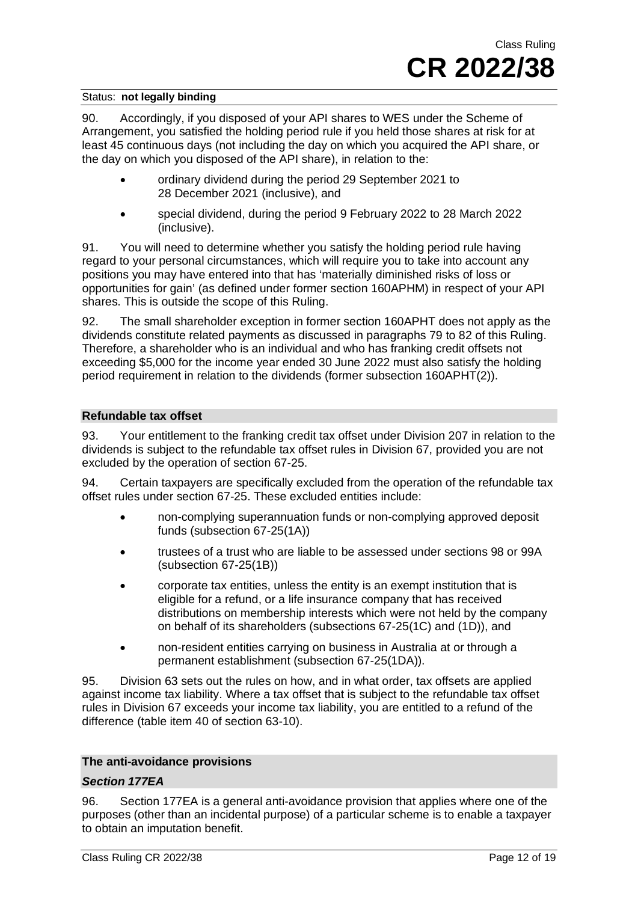90. Accordingly, if you disposed of your API shares to WES under the Scheme of Arrangement, you satisfied the holding period rule if you held those shares at risk for at least 45 continuous days (not including the day on which you acquired the API share, or the day on which you disposed of the API share), in relation to the:

- ordinary dividend during the period 29 September 2021 to 28 December 2021 (inclusive), and
- special dividend, during the period 9 February 2022 to 28 March 2022 (inclusive).

91. You will need to determine whether you satisfy the holding period rule having regard to your personal circumstances, which will require you to take into account any positions you may have entered into that has 'materially diminished risks of loss or opportunities for gain' (as defined under former section 160APHM) in respect of your API shares. This is outside the scope of this Ruling.

92. The small shareholder exception in former section 160APHT does not apply as the dividends constitute related payments as discussed in paragraphs 79 to 82 of this Ruling. Therefore, a shareholder who is an individual and who has franking credit offsets not exceeding \$5,000 for the income year ended 30 June 2022 must also satisfy the holding period requirement in relation to the dividends (former subsection 160APHT(2)).

## **Refundable tax offset**

93. Your entitlement to the franking credit tax offset under Division 207 in relation to the dividends is subject to the refundable tax offset rules in Division 67, provided you are not excluded by the operation of section 67-25.

94. Certain taxpayers are specifically excluded from the operation of the refundable tax offset rules under section 67-25. These excluded entities include:

- non-complying superannuation funds or non-complying approved deposit funds (subsection 67-25(1A))
- trustees of a trust who are liable to be assessed under sections 98 or 99A (subsection 67-25(1B))
- corporate tax entities, unless the entity is an exempt institution that is eligible for a refund, or a life insurance company that has received distributions on membership interests which were not held by the company on behalf of its shareholders (subsections 67-25(1C) and (1D)), and
- non-resident entities carrying on business in Australia at or through a permanent establishment (subsection 67-25(1DA)).

95. Division 63 sets out the rules on how, and in what order, tax offsets are applied against income tax liability. Where a tax offset that is subject to the refundable tax offset rules in Division 67 exceeds your income tax liability, you are entitled to a refund of the difference (table item 40 of section 63-10).

## **The anti-avoidance provisions**

## *Section 177EA*

96. Section 177EA is a general anti-avoidance provision that applies where one of the purposes (other than an incidental purpose) of a particular scheme is to enable a taxpayer to obtain an imputation benefit.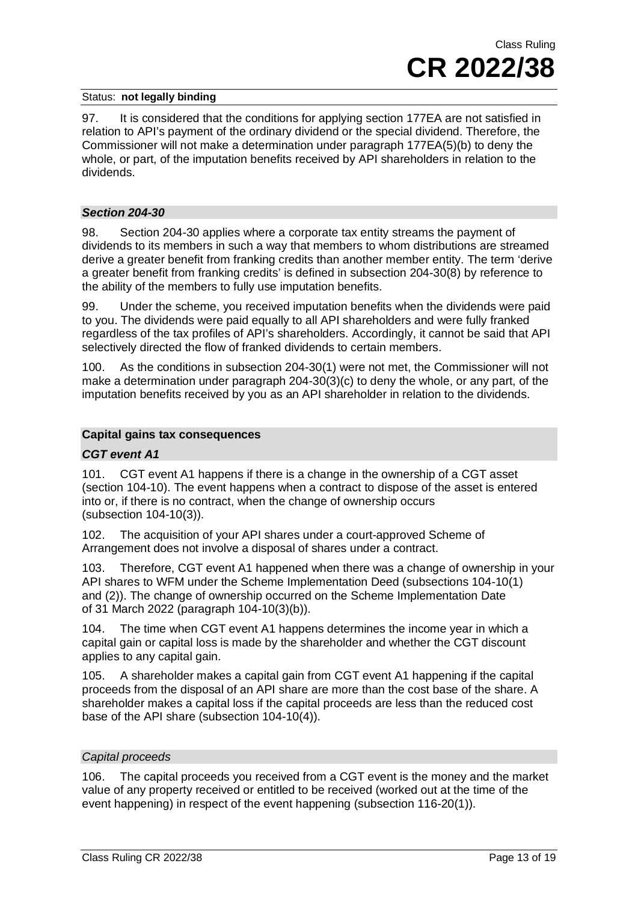97. It is considered that the conditions for applying section 177EA are not satisfied in relation to API's payment of the ordinary dividend or the special dividend. Therefore, the Commissioner will not make a determination under paragraph 177EA(5)(b) to deny the whole, or part, of the imputation benefits received by API shareholders in relation to the dividends.

## *Section 204-30*

98. Section 204-30 applies where a corporate tax entity streams the payment of dividends to its members in such a way that members to whom distributions are streamed derive a greater benefit from franking credits than another member entity. The term 'derive a greater benefit from franking credits' is defined in subsection 204-30(8) by reference to the ability of the members to fully use imputation benefits.

99. Under the scheme, you received imputation benefits when the dividends were paid to you. The dividends were paid equally to all API shareholders and were fully franked regardless of the tax profiles of API's shareholders. Accordingly, it cannot be said that API selectively directed the flow of franked dividends to certain members.

100. As the conditions in subsection 204-30(1) were not met, the Commissioner will not make a determination under paragraph 204-30(3)(c) to deny the whole, or any part, of the imputation benefits received by you as an API shareholder in relation to the dividends.

## **Capital gains tax consequences**

## *CGT event A1*

101. CGT event A1 happens if there is a change in the ownership of a CGT asset (section 104-10). The event happens when a contract to dispose of the asset is entered into or, if there is no contract, when the change of ownership occurs (subsection 104-10(3)).

102. The acquisition of your API shares under a court-approved Scheme of Arrangement does not involve a disposal of shares under a contract.

103. Therefore, CGT event A1 happened when there was a change of ownership in your API shares to WFM under the Scheme Implementation Deed (subsections 104-10(1) and (2)). The change of ownership occurred on the Scheme Implementation Date of 31 March 2022 (paragraph 104-10(3)(b)).

104. The time when CGT event A1 happens determines the income year in which a capital gain or capital loss is made by the shareholder and whether the CGT discount applies to any capital gain.

105. A shareholder makes a capital gain from CGT event A1 happening if the capital proceeds from the disposal of an API share are more than the cost base of the share. A shareholder makes a capital loss if the capital proceeds are less than the reduced cost base of the API share (subsection 104-10(4)).

## *Capital proceeds*

106. The capital proceeds you received from a CGT event is the money and the market value of any property received or entitled to be received (worked out at the time of the event happening) in respect of the event happening (subsection 116-20(1)).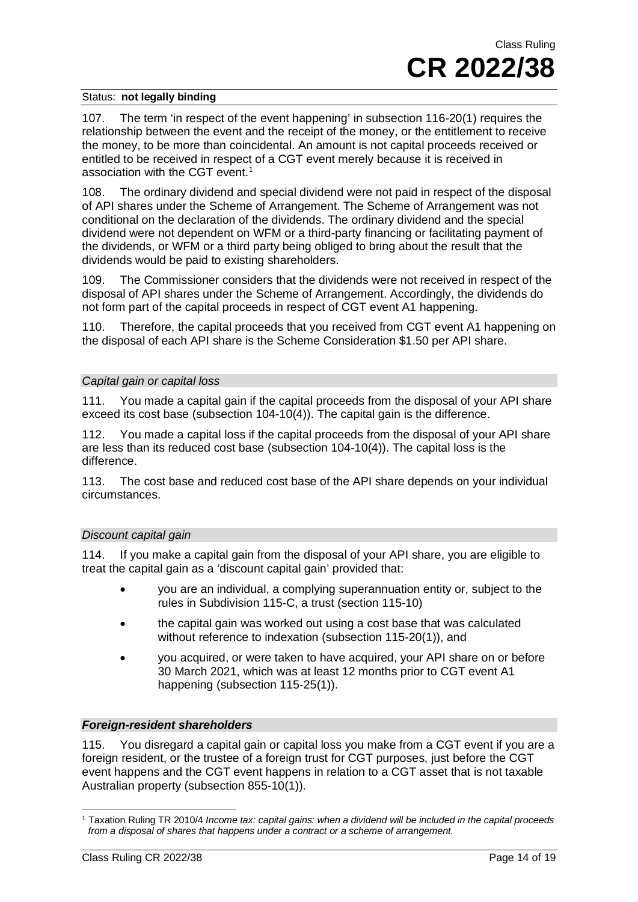107. The term 'in respect of the event happening' in subsection 116-20(1) requires the relationship between the event and the receipt of the money, or the entitlement to receive the money, to be more than coincidental. An amount is not capital proceeds received or entitled to be received in respect of a CGT event merely because it is received in association with the CGT event. [1](#page-13-0)

108. The ordinary dividend and special dividend were not paid in respect of the disposal of API shares under the Scheme of Arrangement. The Scheme of Arrangement was not conditional on the declaration of the dividends. The ordinary dividend and the special dividend were not dependent on WFM or a third-party financing or facilitating payment of the dividends, or WFM or a third party being obliged to bring about the result that the dividends would be paid to existing shareholders.

109. The Commissioner considers that the dividends were not received in respect of the disposal of API shares under the Scheme of Arrangement. Accordingly, the dividends do not form part of the capital proceeds in respect of CGT event A1 happening.

110. Therefore, the capital proceeds that you received from CGT event A1 happening on the disposal of each API share is the Scheme Consideration \$1.50 per API share.

## *Capital gain or capital loss*

111. You made a capital gain if the capital proceeds from the disposal of your API share exceed its cost base (subsection 104-10(4)). The capital gain is the difference.

112. You made a capital loss if the capital proceeds from the disposal of your API share are less than its reduced cost base (subsection 104-10(4)). The capital loss is the difference.

113. The cost base and reduced cost base of the API share depends on your individual circumstances.

## *Discount capital gain*

114. If you make a capital gain from the disposal of your API share, you are eligible to treat the capital gain as a 'discount capital gain' provided that:

- you are an individual, a complying superannuation entity or, subject to the rules in Subdivision 115-C, a trust (section 115-10)
- the capital gain was worked out using a cost base that was calculated without reference to indexation (subsection 115-20(1)), and
- you acquired, or were taken to have acquired, your API share on or before 30 March 2021, which was at least 12 months prior to CGT event A1 happening (subsection 115-25(1)).

## *Foreign-resident shareholders*

115. You disregard a capital gain or capital loss you make from a CGT event if you are a foreign resident, or the trustee of a foreign trust for CGT purposes, just before the CGT event happens and the CGT event happens in relation to a CGT asset that is not taxable Australian property (subsection 855-10(1)).

<span id="page-13-0"></span><sup>1</sup> Taxation Ruling TR 2010/4 *Income tax: capital gains: when a dividend will be included in the capital proceeds from a disposal of shares that happens under a contract or a scheme of arrangement*.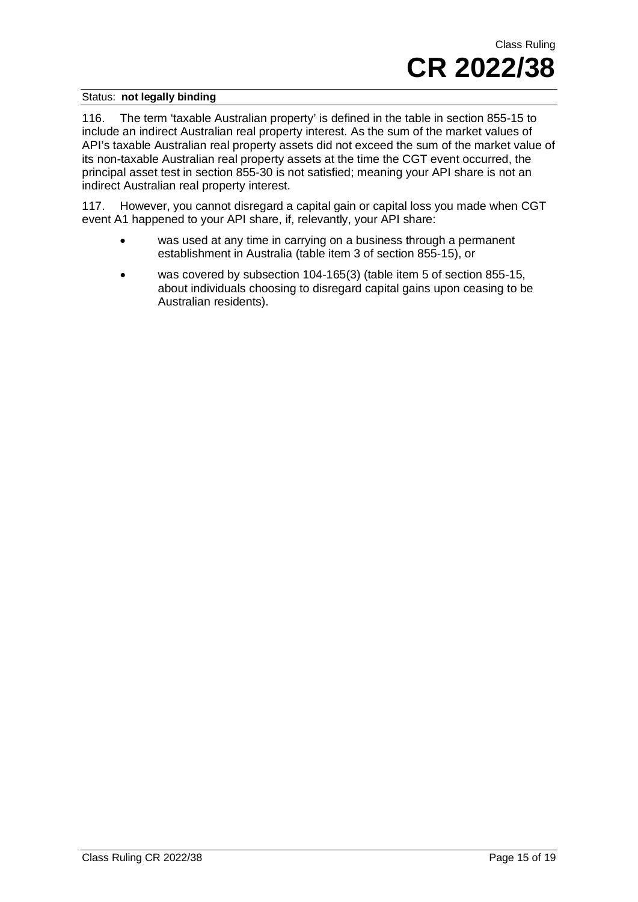116. The term 'taxable Australian property' is defined in the table in section 855-15 to include an indirect Australian real property interest. As the sum of the market values of API's taxable Australian real property assets did not exceed the sum of the market value of its non-taxable Australian real property assets at the time the CGT event occurred, the principal asset test in section 855-30 is not satisfied; meaning your API share is not an indirect Australian real property interest.

117. However, you cannot disregard a capital gain or capital loss you made when CGT event A1 happened to your API share, if, relevantly, your API share:

- was used at any time in carrying on a business through a permanent establishment in Australia (table item 3 of section 855-15), or
- was covered by subsection 104-165(3) (table item 5 of section 855-15, about individuals choosing to disregard capital gains upon ceasing to be Australian residents).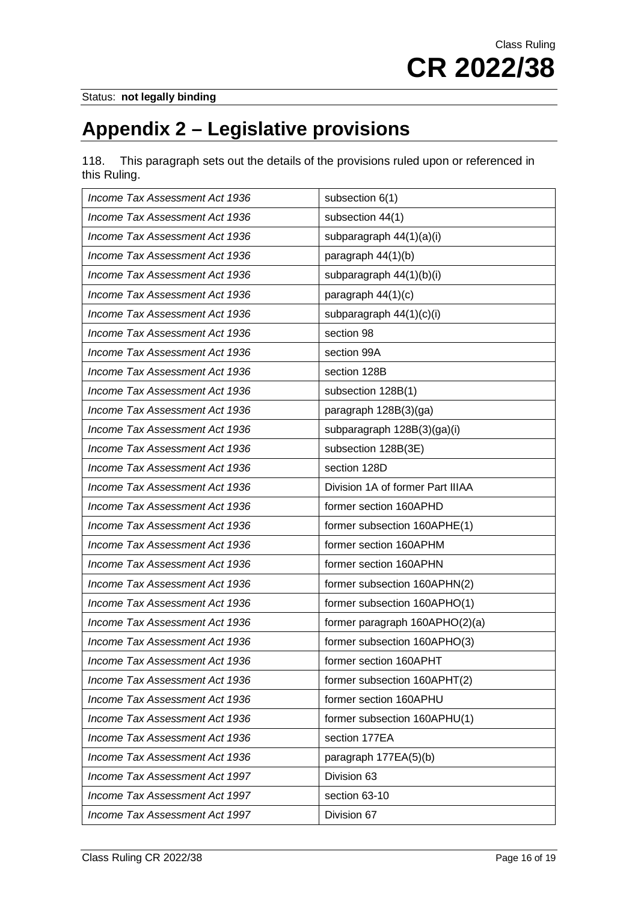# **Appendix 2 – Legislative provisions**

118. This paragraph sets out the details of the provisions ruled upon or referenced in this Ruling.

| Income Tax Assessment Act 1936 | subsection 6(1)                  |
|--------------------------------|----------------------------------|
| Income Tax Assessment Act 1936 | subsection 44(1)                 |
| Income Tax Assessment Act 1936 | subparagraph 44(1)(a)(i)         |
| Income Tax Assessment Act 1936 | paragraph 44(1)(b)               |
| Income Tax Assessment Act 1936 | subparagraph 44(1)(b)(i)         |
| Income Tax Assessment Act 1936 | paragraph 44(1)(c)               |
| Income Tax Assessment Act 1936 | subparagraph 44(1)(c)(i)         |
| Income Tax Assessment Act 1936 | section 98                       |
| Income Tax Assessment Act 1936 | section 99A                      |
| Income Tax Assessment Act 1936 | section 128B                     |
| Income Tax Assessment Act 1936 | subsection 128B(1)               |
| Income Tax Assessment Act 1936 | paragraph 128B(3)(ga)            |
| Income Tax Assessment Act 1936 | subparagraph 128B(3)(ga)(i)      |
| Income Tax Assessment Act 1936 | subsection 128B(3E)              |
| Income Tax Assessment Act 1936 | section 128D                     |
| Income Tax Assessment Act 1936 | Division 1A of former Part IIIAA |
| Income Tax Assessment Act 1936 | former section 160APHD           |
| Income Tax Assessment Act 1936 | former subsection 160APHE(1)     |
| Income Tax Assessment Act 1936 | former section 160APHM           |
| Income Tax Assessment Act 1936 | former section 160APHN           |
| Income Tax Assessment Act 1936 | former subsection 160APHN(2)     |
| Income Tax Assessment Act 1936 | former subsection 160APHO(1)     |
| Income Tax Assessment Act 1936 | former paragraph 160APHO(2)(a)   |
| Income Tax Assessment Act 1936 | former subsection 160APHO(3)     |
| Income Tax Assessment Act 1936 | former section 160APHT           |
| Income Tax Assessment Act 1936 | former subsection 160APHT(2)     |
| Income Tax Assessment Act 1936 | former section 160APHU           |
| Income Tax Assessment Act 1936 | former subsection 160APHU(1)     |
| Income Tax Assessment Act 1936 | section 177EA                    |
| Income Tax Assessment Act 1936 | paragraph 177EA(5)(b)            |
| Income Tax Assessment Act 1997 | Division 63                      |
| Income Tax Assessment Act 1997 | section 63-10                    |
| Income Tax Assessment Act 1997 | Division 67                      |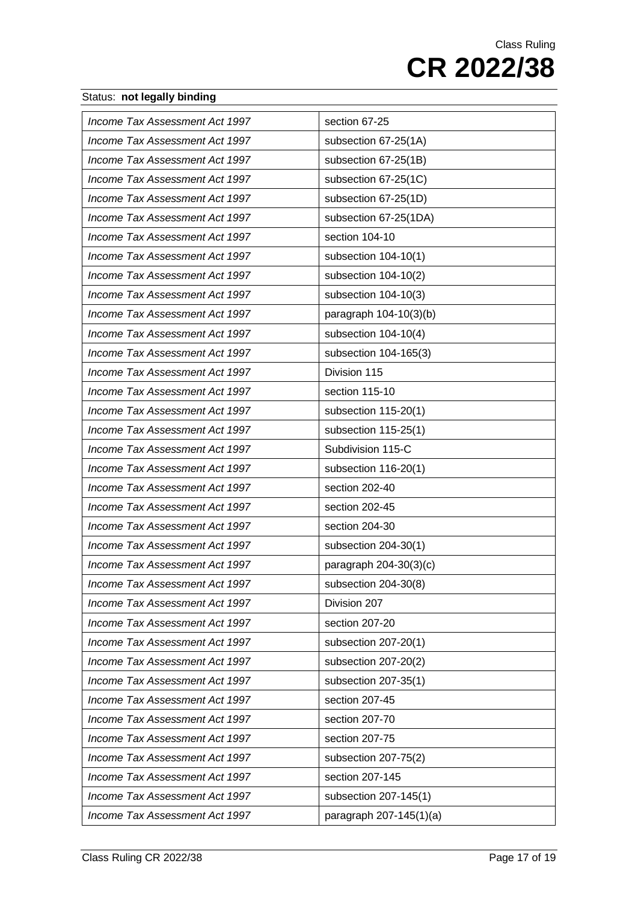| Income Tax Assessment Act 1997 | section 67-25           |
|--------------------------------|-------------------------|
| Income Tax Assessment Act 1997 | subsection 67-25(1A)    |
| Income Tax Assessment Act 1997 | subsection 67-25(1B)    |
| Income Tax Assessment Act 1997 | subsection 67-25(1C)    |
| Income Tax Assessment Act 1997 | subsection 67-25(1D)    |
| Income Tax Assessment Act 1997 | subsection 67-25(1DA)   |
| Income Tax Assessment Act 1997 | section 104-10          |
| Income Tax Assessment Act 1997 | subsection 104-10(1)    |
| Income Tax Assessment Act 1997 | subsection 104-10(2)    |
| Income Tax Assessment Act 1997 | subsection 104-10(3)    |
| Income Tax Assessment Act 1997 | paragraph 104-10(3)(b)  |
| Income Tax Assessment Act 1997 | subsection 104-10(4)    |
| Income Tax Assessment Act 1997 | subsection 104-165(3)   |
| Income Tax Assessment Act 1997 | Division 115            |
| Income Tax Assessment Act 1997 | section 115-10          |
| Income Tax Assessment Act 1997 | subsection 115-20(1)    |
| Income Tax Assessment Act 1997 | subsection 115-25(1)    |
| Income Tax Assessment Act 1997 | Subdivision 115-C       |
| Income Tax Assessment Act 1997 | subsection 116-20(1)    |
| Income Tax Assessment Act 1997 | section 202-40          |
| Income Tax Assessment Act 1997 | section 202-45          |
| Income Tax Assessment Act 1997 | section 204-30          |
| Income Tax Assessment Act 1997 | subsection 204-30(1)    |
| Income Tax Assessment Act 1997 | paragraph 204-30(3)(c)  |
| Income Tax Assessment Act 1997 | subsection 204-30(8)    |
| Income Tax Assessment Act 1997 | Division 207            |
| Income Tax Assessment Act 1997 | section 207-20          |
| Income Tax Assessment Act 1997 | subsection 207-20(1)    |
| Income Tax Assessment Act 1997 | subsection 207-20(2)    |
| Income Tax Assessment Act 1997 | subsection 207-35(1)    |
| Income Tax Assessment Act 1997 | section 207-45          |
| Income Tax Assessment Act 1997 | section 207-70          |
| Income Tax Assessment Act 1997 | section 207-75          |
| Income Tax Assessment Act 1997 | subsection 207-75(2)    |
| Income Tax Assessment Act 1997 | section 207-145         |
| Income Tax Assessment Act 1997 | subsection 207-145(1)   |
| Income Tax Assessment Act 1997 | paragraph 207-145(1)(a) |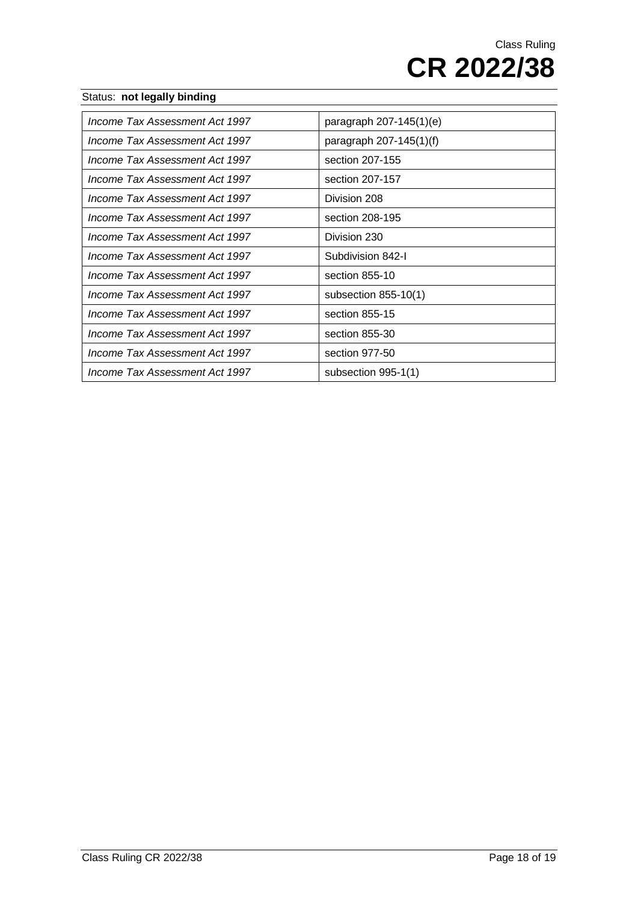| Income Tax Assessment Act 1997 | paragraph $207 - 145(1)(e)$ |
|--------------------------------|-----------------------------|
| Income Tax Assessment Act 1997 | paragraph 207-145(1)(f)     |
| Income Tax Assessment Act 1997 | section 207-155             |
| Income Tax Assessment Act 1997 | section 207-157             |
| Income Tax Assessment Act 1997 | Division 208                |
| Income Tax Assessment Act 1997 | section 208-195             |
| Income Tax Assessment Act 1997 | Division 230                |
| Income Tax Assessment Act 1997 | Subdivision 842-I           |
| Income Tax Assessment Act 1997 | section 855-10              |
| Income Tax Assessment Act 1997 | subsection $855-10(1)$      |
| Income Tax Assessment Act 1997 | section 855-15              |
| Income Tax Assessment Act 1997 | section 855-30              |
| Income Tax Assessment Act 1997 | section 977-50              |
| Income Tax Assessment Act 1997 | subsection 995-1(1)         |